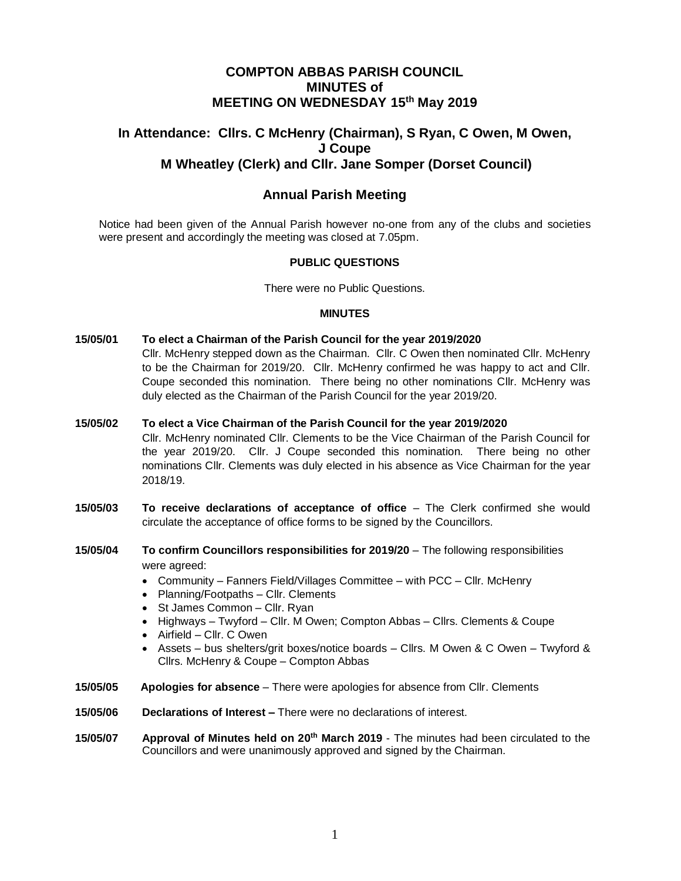### **COMPTON ABBAS PARISH COUNCIL MINUTES of MEETING ON WEDNESDAY 15th May 2019**

# **In Attendance: Cllrs. C McHenry (Chairman), S Ryan, C Owen, M Owen, J Coupe M Wheatley (Clerk) and Cllr. Jane Somper (Dorset Council)**

## **Annual Parish Meeting**

Notice had been given of the Annual Parish however no-one from any of the clubs and societies were present and accordingly the meeting was closed at 7.05pm.

#### **PUBLIC QUESTIONS**

There were no Public Questions.

#### **MINUTES**

- **15/05/01 To elect a Chairman of the Parish Council for the year 2019/2020** Cllr. McHenry stepped down as the Chairman. Cllr. C Owen then nominated Cllr. McHenry to be the Chairman for 2019/20. Cllr. McHenry confirmed he was happy to act and Cllr. Coupe seconded this nomination. There being no other nominations Cllr. McHenry was duly elected as the Chairman of the Parish Council for the year 2019/20.
- **15/05/02 To elect a Vice Chairman of the Parish Council for the year 2019/2020** Cllr. McHenry nominated Cllr. Clements to be the Vice Chairman of the Parish Council for the year 2019/20. Cllr. J Coupe seconded this nomination. There being no other nominations Cllr. Clements was duly elected in his absence as Vice Chairman for the year 2018/19.
- **15/05/03 To receive declarations of acceptance of office**  The Clerk confirmed she would circulate the acceptance of office forms to be signed by the Councillors.
- **15/05/04 To confirm Councillors responsibilities for 2019/20** The following responsibilities were agreed:
	- Community Fanners Field/Villages Committee with PCC Cllr. McHenry
	- Planning/Footpaths Cllr. Clements
	- St James Common Cllr. Ryan
	- Highways Twyford Cllr. M Owen; Compton Abbas Cllrs. Clements & Coupe
	- Airfield Cllr. C Owen
	- Assets bus shelters/grit boxes/notice boards Cllrs. M Owen & C Owen Twyford & Cllrs. McHenry & Coupe – Compton Abbas
- **15/05/05 Apologies for absence**  There were apologies for absence from Cllr. Clements
- **15/05/06 Declarations of Interest –** There were no declarations of interest.
- **15/05/07** Approval of Minutes held on 20<sup>th</sup> March 2019 The minutes had been circulated to the Councillors and were unanimously approved and signed by the Chairman.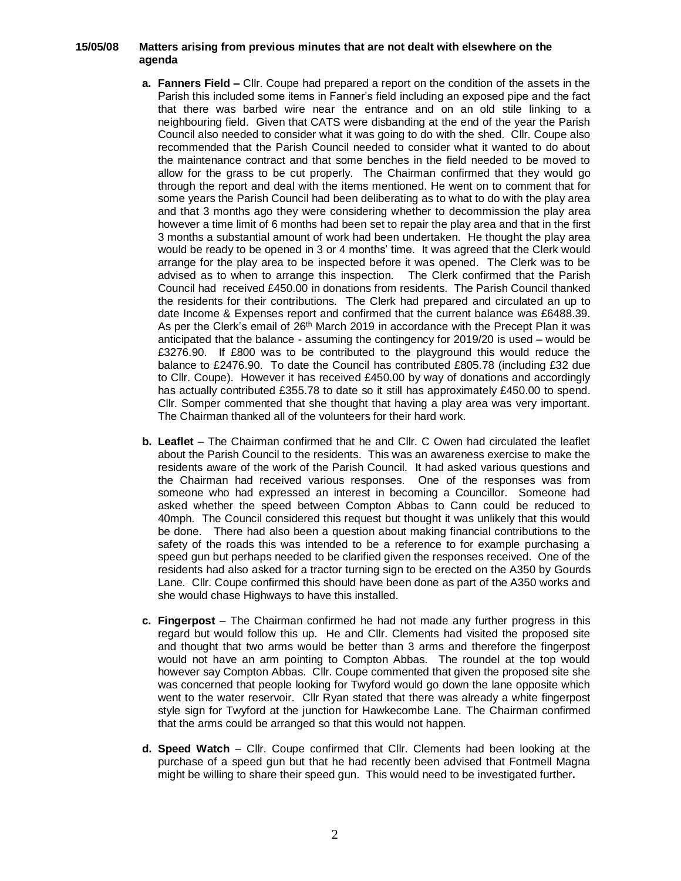#### **15/05/08 Matters arising from previous minutes that are not dealt with elsewhere on the agenda**

- **a. Fanners Field –** Cllr. Coupe had prepared a report on the condition of the assets in the Parish this included some items in Fanner's field including an exposed pipe and the fact that there was barbed wire near the entrance and on an old stile linking to a neighbouring field. Given that CATS were disbanding at the end of the year the Parish Council also needed to consider what it was going to do with the shed. Cllr. Coupe also recommended that the Parish Council needed to consider what it wanted to do about the maintenance contract and that some benches in the field needed to be moved to allow for the grass to be cut properly. The Chairman confirmed that they would go through the report and deal with the items mentioned. He went on to comment that for some years the Parish Council had been deliberating as to what to do with the play area and that 3 months ago they were considering whether to decommission the play area however a time limit of 6 months had been set to repair the play area and that in the first 3 months a substantial amount of work had been undertaken. He thought the play area would be ready to be opened in 3 or 4 months' time. It was agreed that the Clerk would arrange for the play area to be inspected before it was opened. The Clerk was to be advised as to when to arrange this inspection. The Clerk confirmed that the Parish Council had received £450.00 in donations from residents. The Parish Council thanked the residents for their contributions. The Clerk had prepared and circulated an up to date Income & Expenses report and confirmed that the current balance was £6488.39. As per the Clerk's email of 26th March 2019 in accordance with the Precept Plan it was anticipated that the balance - assuming the contingency for 2019/20 is used – would be £3276.90. If £800 was to be contributed to the playground this would reduce the balance to £2476.90. To date the Council has contributed £805.78 (including £32 due to Cllr. Coupe). However it has received £450.00 by way of donations and accordingly has actually contributed £355.78 to date so it still has approximately £450.00 to spend. Cllr. Somper commented that she thought that having a play area was very important. The Chairman thanked all of the volunteers for their hard work.
- **b.** Leaflet The Chairman confirmed that he and Cllr. C Owen had circulated the leaflet about the Parish Council to the residents. This was an awareness exercise to make the residents aware of the work of the Parish Council. It had asked various questions and the Chairman had received various responses. One of the responses was from someone who had expressed an interest in becoming a Councillor. Someone had asked whether the speed between Compton Abbas to Cann could be reduced to 40mph. The Council considered this request but thought it was unlikely that this would be done. There had also been a question about making financial contributions to the safety of the roads this was intended to be a reference to for example purchasing a speed gun but perhaps needed to be clarified given the responses received. One of the residents had also asked for a tractor turning sign to be erected on the A350 by Gourds Lane. Cllr. Coupe confirmed this should have been done as part of the A350 works and she would chase Highways to have this installed.
- **c. Fingerpost**  The Chairman confirmed he had not made any further progress in this regard but would follow this up. He and Cllr. Clements had visited the proposed site and thought that two arms would be better than 3 arms and therefore the fingerpost would not have an arm pointing to Compton Abbas. The roundel at the top would however say Compton Abbas. Cllr. Coupe commented that given the proposed site she was concerned that people looking for Twyford would go down the lane opposite which went to the water reservoir. Cllr Ryan stated that there was already a white fingerpost style sign for Twyford at the junction for Hawkecombe Lane. The Chairman confirmed that the arms could be arranged so that this would not happen.
- **d. Speed Watch**  Cllr. Coupe confirmed that Cllr. Clements had been looking at the purchase of a speed gun but that he had recently been advised that Fontmell Magna might be willing to share their speed gun. This would need to be investigated further*.*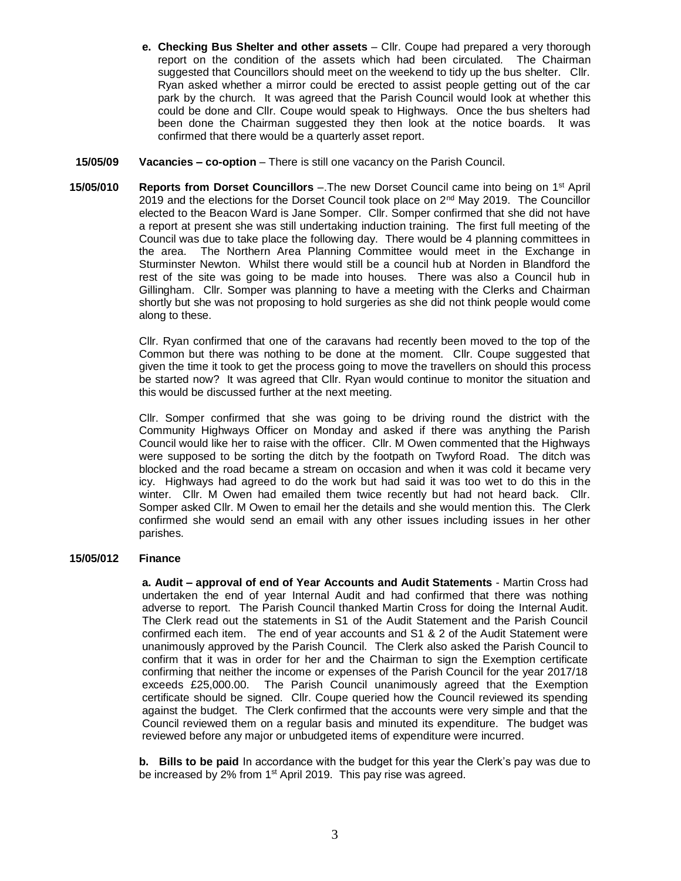- **e. Checking Bus Shelter and other assets** Cllr. Coupe had prepared a very thorough report on the condition of the assets which had been circulated*.* The Chairman suggested that Councillors should meet on the weekend to tidy up the bus shelter. Cllr. Ryan asked whether a mirror could be erected to assist people getting out of the car park by the church. It was agreed that the Parish Council would look at whether this could be done and Cllr. Coupe would speak to Highways. Once the bus shelters had been done the Chairman suggested they then look at the notice boards. It was confirmed that there would be a quarterly asset report.
- **15/05/09 Vacancies – co-option** There is still one vacancy on the Parish Council.
- **15/05/010 Reports from Dorset Councillors** –.The new Dorset Council came into being on 1st April 2019 and the elections for the Dorset Council took place on  $2^{nd}$  May 2019. The Councillor elected to the Beacon Ward is Jane Somper. Cllr. Somper confirmed that she did not have a report at present she was still undertaking induction training. The first full meeting of the Council was due to take place the following day. There would be 4 planning committees in the area. The Northern Area Planning Committee would meet in the Exchange in Sturminster Newton. Whilst there would still be a council hub at Norden in Blandford the rest of the site was going to be made into houses. There was also a Council hub in Gillingham. Cllr. Somper was planning to have a meeting with the Clerks and Chairman shortly but she was not proposing to hold surgeries as she did not think people would come along to these.

Cllr. Ryan confirmed that one of the caravans had recently been moved to the top of the Common but there was nothing to be done at the moment. Cllr. Coupe suggested that given the time it took to get the process going to move the travellers on should this process be started now? It was agreed that Cllr. Ryan would continue to monitor the situation and this would be discussed further at the next meeting.

Cllr. Somper confirmed that she was going to be driving round the district with the Community Highways Officer on Monday and asked if there was anything the Parish Council would like her to raise with the officer. Cllr. M Owen commented that the Highways were supposed to be sorting the ditch by the footpath on Twyford Road. The ditch was blocked and the road became a stream on occasion and when it was cold it became very icy. Highways had agreed to do the work but had said it was too wet to do this in the winter. Cllr. M Owen had emailed them twice recently but had not heard back. Cllr. Somper asked Cllr. M Owen to email her the details and she would mention this. The Clerk confirmed she would send an email with any other issues including issues in her other parishes.

#### **15/05/012 Finance**

**a. Audit – approval of end of Year Accounts and Audit Statements** - Martin Cross had undertaken the end of year Internal Audit and had confirmed that there was nothing adverse to report. The Parish Council thanked Martin Cross for doing the Internal Audit. The Clerk read out the statements in S1 of the Audit Statement and the Parish Council confirmed each item. The end of year accounts and S1 & 2 of the Audit Statement were unanimously approved by the Parish Council. The Clerk also asked the Parish Council to confirm that it was in order for her and the Chairman to sign the Exemption certificate confirming that neither the income or expenses of the Parish Council for the year 2017/18 exceeds £25,000.00. The Parish Council unanimously agreed that the Exemption certificate should be signed. Cllr. Coupe queried how the Council reviewed its spending against the budget. The Clerk confirmed that the accounts were very simple and that the Council reviewed them on a regular basis and minuted its expenditure. The budget was reviewed before any major or unbudgeted items of expenditure were incurred.

**b. Bills to be paid** In accordance with the budget for this year the Clerk's pay was due to be increased by 2% from 1<sup>st</sup> April 2019. This pay rise was agreed.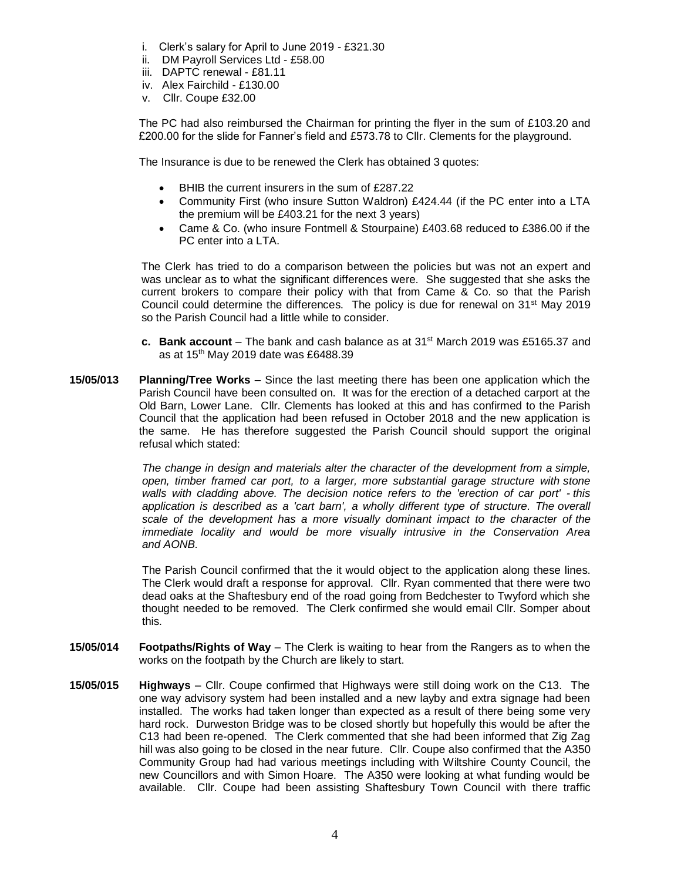- i. Clerk's salary for April to June 2019 £321.30
- ii. DM Payroll Services Ltd £58.00
- iii. DAPTC renewal £81.11
- iv. Alex Fairchild £130.00
- v. Cllr. Coupe £32.00

The PC had also reimbursed the Chairman for printing the flyer in the sum of £103.20 and £200.00 for the slide for Fanner's field and £573.78 to Cllr. Clements for the playground.

The Insurance is due to be renewed the Clerk has obtained 3 quotes:

- BHIB the current insurers in the sum of £287.22
- Community First (who insure Sutton Waldron) £424.44 (if the PC enter into a LTA the premium will be £403.21 for the next 3 years)
- Came & Co. (who insure Fontmell & Stourpaine) £403.68 reduced to £386.00 if the PC enter into a LTA.

The Clerk has tried to do a comparison between the policies but was not an expert and was unclear as to what the significant differences were. She suggested that she asks the current brokers to compare their policy with that from Came & Co. so that the Parish Council could determine the differences. The policy is due for renewal on 31st May 2019 so the Parish Council had a little while to consider.

- **c. Bank account** The bank and cash balance as at 31st March 2019 was £5165.37 and as at 15th May 2019 date was £6488.39
- **15/05/013 Planning/Tree Works –** Since the last meeting there has been one application which the Parish Council have been consulted on. It was for the erection of a detached carport at the Old Barn, Lower Lane. Cllr. Clements has looked at this and has confirmed to the Parish Council that the application had been refused in October 2018 and the new application is the same. He has therefore suggested the Parish Council should support the original refusal which stated:

*The change in design and materials alter the character of the development from a simple, open, timber framed car port, to a larger, more substantial garage structure with stone walls with cladding above. The decision notice refers to the 'erection of car port' - this application is described as a 'cart barn', a wholly different type of structure. The overall scale of the development has a more visually dominant impact to the character of the immediate locality and would be more visually intrusive in the Conservation Area and AONB.*

The Parish Council confirmed that the it would object to the application along these lines. The Clerk would draft a response for approval. Cllr. Ryan commented that there were two dead oaks at the Shaftesbury end of the road going from Bedchester to Twyford which she thought needed to be removed. The Clerk confirmed she would email Cllr. Somper about this.

- **15/05/014 Footpaths/Rights of Way**  The Clerk is waiting to hear from the Rangers as to when the works on the footpath by the Church are likely to start.
- **15/05/015 Highways** Cllr. Coupe confirmed that Highways were still doing work on the C13. The one way advisory system had been installed and a new layby and extra signage had been installed. The works had taken longer than expected as a result of there being some very hard rock. Durweston Bridge was to be closed shortly but hopefully this would be after the C13 had been re-opened. The Clerk commented that she had been informed that Zig Zag hill was also going to be closed in the near future. Cllr. Coupe also confirmed that the A350 Community Group had had various meetings including with Wiltshire County Council, the new Councillors and with Simon Hoare. The A350 were looking at what funding would be available. Cllr. Coupe had been assisting Shaftesbury Town Council with there traffic